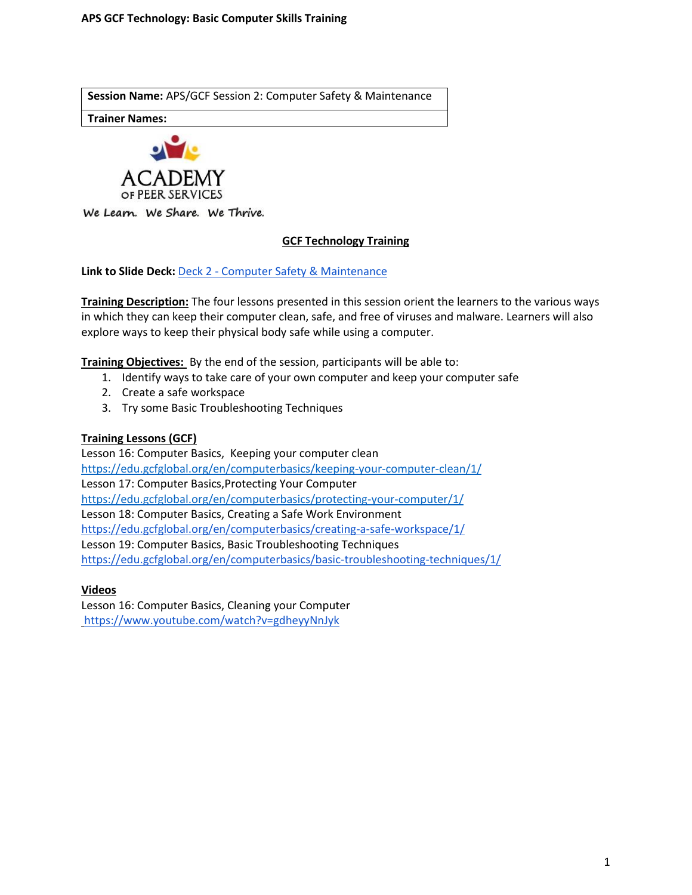**Session Name:** APS/GCF Session 2: Computer Safety & Maintenance

**Trainer Names:** 



We Learn. We Share. We Thrive.

### **GCF Technology Training**

**Link to Slide Deck:** Deck 2 - [Computer Safety & Maintenance](https://docs.google.com/presentation/d/1nzCY-3hhFhqgY_kgDZy1RB55NY6H-dd9qZUBoCsDAAY/edit?usp=sharing)

**Training Description:** The four lessons presented in this session orient the learners to the various ways in which they can keep their computer clean, safe, and free of viruses and malware. Learners will also explore ways to keep their physical body safe while using a computer.

**Training Objectives:** By the end of the session, participants will be able to:

- 1. Identify ways to take care of your own computer and keep your computer safe
- 2. Create a safe workspace
- 3. Try some Basic Troubleshooting Techniques

#### **Training Lessons (GCF)**

Lesson 16: Computer Basics, Keeping your computer clean <https://edu.gcfglobal.org/en/computerbasics/keeping-your-computer-clean/1/> Lesson 17: Computer Basics,Protecting Your Computer <https://edu.gcfglobal.org/en/computerbasics/protecting-your-computer/1/> Lesson 18: Computer Basics, Creating a Safe Work Environment <https://edu.gcfglobal.org/en/computerbasics/creating-a-safe-workspace/1/> Lesson 19: Computer Basics, Basic Troubleshooting Techniques <https://edu.gcfglobal.org/en/computerbasics/basic-troubleshooting-techniques/1/>

#### **Videos**

Lesson 16: Computer Basics, Cleaning your Computer <https://www.youtube.com/watch?v=gdheyyNnJyk>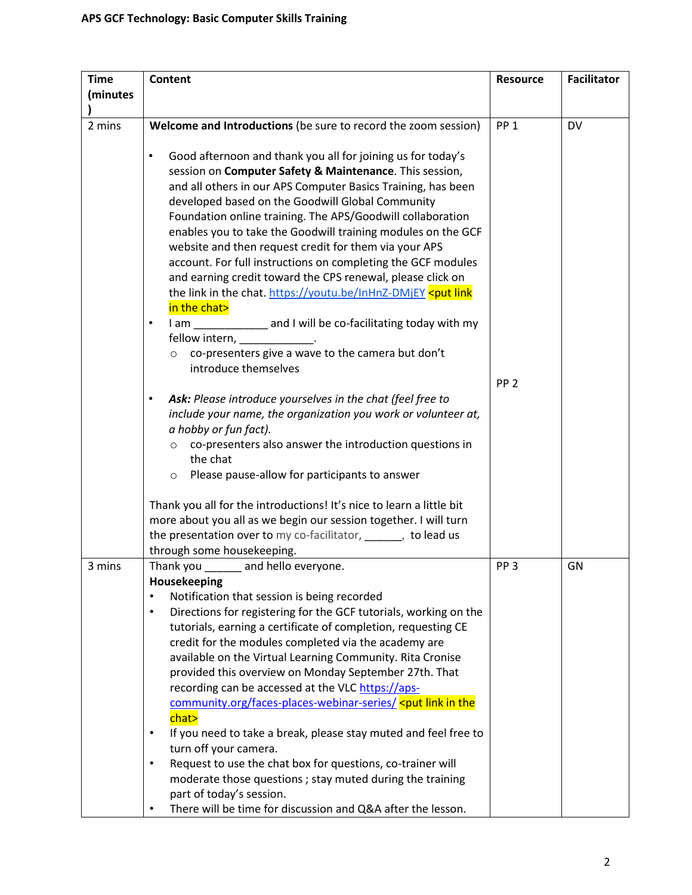| <b>Time</b> | <b>Content</b>                                                                                                                      | <b>Resource</b> | <b>Facilitator</b> |
|-------------|-------------------------------------------------------------------------------------------------------------------------------------|-----------------|--------------------|
| (minutes    |                                                                                                                                     |                 |                    |
|             |                                                                                                                                     |                 |                    |
| 2 mins      | Welcome and Introductions (be sure to record the zoom session)                                                                      | PP <sub>1</sub> | DV                 |
|             |                                                                                                                                     |                 |                    |
|             | Good afternoon and thank you all for joining us for today's<br>$\bullet$<br>session on Computer Safety & Maintenance. This session, |                 |                    |
|             | and all others in our APS Computer Basics Training, has been                                                                        |                 |                    |
|             | developed based on the Goodwill Global Community                                                                                    |                 |                    |
|             | Foundation online training. The APS/Goodwill collaboration                                                                          |                 |                    |
|             | enables you to take the Goodwill training modules on the GCF                                                                        |                 |                    |
|             | website and then request credit for them via your APS                                                                               |                 |                    |
|             | account. For full instructions on completing the GCF modules                                                                        |                 |                    |
|             | and earning credit toward the CPS renewal, please click on                                                                          |                 |                    |
|             | the link in the chat. https://youtu.be/InHnZ-DMjEY <put link<="" th=""><th></th><th></th></put>                                     |                 |                    |
|             | in the chat>                                                                                                                        |                 |                    |
|             | I am _____________ and I will be co-facilitating today with my<br>$\bullet$                                                         |                 |                    |
|             | fellow intern, ____________                                                                                                         |                 |                    |
|             | co-presenters give a wave to the camera but don't<br>$\circ$                                                                        |                 |                    |
|             | introduce themselves                                                                                                                |                 |                    |
|             |                                                                                                                                     | PP <sub>2</sub> |                    |
|             | Ask: Please introduce yourselves in the chat (feel free to<br>$\bullet$                                                             |                 |                    |
|             | include your name, the organization you work or volunteer at,                                                                       |                 |                    |
|             | a hobby or fun fact).                                                                                                               |                 |                    |
|             | co-presenters also answer the introduction questions in<br>$\circ$                                                                  |                 |                    |
|             | the chat                                                                                                                            |                 |                    |
|             | Please pause-allow for participants to answer<br>$\circ$                                                                            |                 |                    |
|             | Thank you all for the introductions! It's nice to learn a little bit                                                                |                 |                    |
|             | more about you all as we begin our session together. I will turn                                                                    |                 |                    |
|             | the presentation over to my co-facilitator, when y to lead us                                                                       |                 |                    |
|             | through some housekeeping.                                                                                                          |                 |                    |
| 3 mins      | Thank you<br>and hello everyone.                                                                                                    | PP <sub>3</sub> | GN                 |
|             | Housekeeping                                                                                                                        |                 |                    |
|             | Notification that session is being recorded<br>$\bullet$                                                                            |                 |                    |
|             | Directions for registering for the GCF tutorials, working on the<br>$\bullet$                                                       |                 |                    |
|             | tutorials, earning a certificate of completion, requesting CE                                                                       |                 |                    |
|             | credit for the modules completed via the academy are                                                                                |                 |                    |
|             | available on the Virtual Learning Community. Rita Cronise                                                                           |                 |                    |
|             | provided this overview on Monday September 27th. That                                                                               |                 |                    |
|             | recording can be accessed at the VLC https://aps-                                                                                   |                 |                    |
|             | community.org/faces-places-webinar-series/ <put in="" link="" th="" the<=""><th></th><th></th></put>                                |                 |                    |
|             | chat>                                                                                                                               |                 |                    |
|             | If you need to take a break, please stay muted and feel free to<br>$\bullet$                                                        |                 |                    |
|             | turn off your camera.                                                                                                               |                 |                    |
|             | Request to use the chat box for questions, co-trainer will<br>$\bullet$                                                             |                 |                    |
|             | moderate those questions ; stay muted during the training                                                                           |                 |                    |
|             | part of today's session.                                                                                                            |                 |                    |
|             | There will be time for discussion and Q&A after the lesson.                                                                         |                 |                    |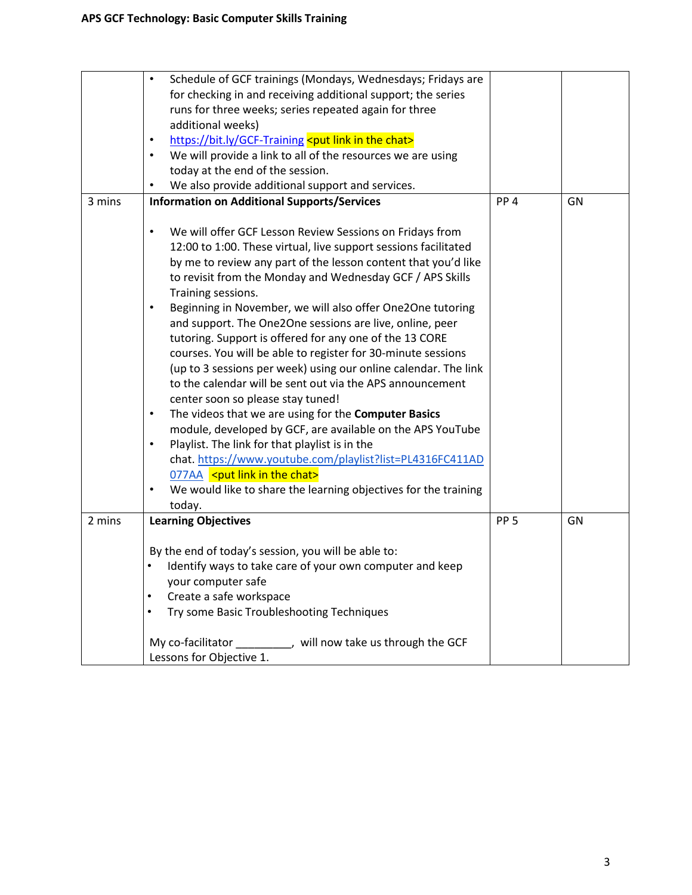|        | Schedule of GCF trainings (Mondays, Wednesdays; Fridays are<br>$\bullet$<br>for checking in and receiving additional support; the series<br>runs for three weeks; series repeated again for three                                                                                                                                                                                                                                                                                                                                                                                                                                                                                                                                                                                                                                            |                 |    |
|--------|----------------------------------------------------------------------------------------------------------------------------------------------------------------------------------------------------------------------------------------------------------------------------------------------------------------------------------------------------------------------------------------------------------------------------------------------------------------------------------------------------------------------------------------------------------------------------------------------------------------------------------------------------------------------------------------------------------------------------------------------------------------------------------------------------------------------------------------------|-----------------|----|
|        | additional weeks)                                                                                                                                                                                                                                                                                                                                                                                                                                                                                                                                                                                                                                                                                                                                                                                                                            |                 |    |
|        | https://bit.ly/GCF-Training <put chat="" in="" link="" the=""></put>                                                                                                                                                                                                                                                                                                                                                                                                                                                                                                                                                                                                                                                                                                                                                                         |                 |    |
|        | We will provide a link to all of the resources we are using<br>$\bullet$                                                                                                                                                                                                                                                                                                                                                                                                                                                                                                                                                                                                                                                                                                                                                                     |                 |    |
|        | today at the end of the session.                                                                                                                                                                                                                                                                                                                                                                                                                                                                                                                                                                                                                                                                                                                                                                                                             |                 |    |
|        | We also provide additional support and services.                                                                                                                                                                                                                                                                                                                                                                                                                                                                                                                                                                                                                                                                                                                                                                                             |                 |    |
| 3 mins | <b>Information on Additional Supports/Services</b>                                                                                                                                                                                                                                                                                                                                                                                                                                                                                                                                                                                                                                                                                                                                                                                           | PP <sub>4</sub> | GN |
|        |                                                                                                                                                                                                                                                                                                                                                                                                                                                                                                                                                                                                                                                                                                                                                                                                                                              |                 |    |
|        | We will offer GCF Lesson Review Sessions on Fridays from<br>12:00 to 1:00. These virtual, live support sessions facilitated<br>by me to review any part of the lesson content that you'd like<br>to revisit from the Monday and Wednesday GCF / APS Skills                                                                                                                                                                                                                                                                                                                                                                                                                                                                                                                                                                                   |                 |    |
|        | Training sessions.<br>Beginning in November, we will also offer One2One tutoring<br>$\bullet$<br>and support. The One2One sessions are live, online, peer<br>tutoring. Support is offered for any one of the 13 CORE<br>courses. You will be able to register for 30-minute sessions<br>(up to 3 sessions per week) using our online calendar. The link<br>to the calendar will be sent out via the APS announcement<br>center soon so please stay tuned!<br>The videos that we are using for the Computer Basics<br>module, developed by GCF, are available on the APS YouTube<br>Playlist. The link for that playlist is in the<br>$\bullet$<br>chat. https://www.youtube.com/playlist?list=PL4316FC411AD<br>077AA <put chat="" in="" link="" the=""><br/>We would like to share the learning objectives for the training<br/>today.</put> |                 |    |
| 2 mins | <b>Learning Objectives</b>                                                                                                                                                                                                                                                                                                                                                                                                                                                                                                                                                                                                                                                                                                                                                                                                                   | PP <sub>5</sub> | GN |
|        |                                                                                                                                                                                                                                                                                                                                                                                                                                                                                                                                                                                                                                                                                                                                                                                                                                              |                 |    |
|        | By the end of today's session, you will be able to:                                                                                                                                                                                                                                                                                                                                                                                                                                                                                                                                                                                                                                                                                                                                                                                          |                 |    |
|        | Identify ways to take care of your own computer and keep<br>$\bullet$                                                                                                                                                                                                                                                                                                                                                                                                                                                                                                                                                                                                                                                                                                                                                                        |                 |    |
|        | your computer safe                                                                                                                                                                                                                                                                                                                                                                                                                                                                                                                                                                                                                                                                                                                                                                                                                           |                 |    |
|        |                                                                                                                                                                                                                                                                                                                                                                                                                                                                                                                                                                                                                                                                                                                                                                                                                                              |                 |    |
|        | Create a safe workspace                                                                                                                                                                                                                                                                                                                                                                                                                                                                                                                                                                                                                                                                                                                                                                                                                      |                 |    |
|        | Try some Basic Troubleshooting Techniques<br>$\bullet$                                                                                                                                                                                                                                                                                                                                                                                                                                                                                                                                                                                                                                                                                                                                                                                       |                 |    |
|        | My co-facilitator ___________, will now take us through the GCF<br>Lessons for Objective 1.                                                                                                                                                                                                                                                                                                                                                                                                                                                                                                                                                                                                                                                                                                                                                  |                 |    |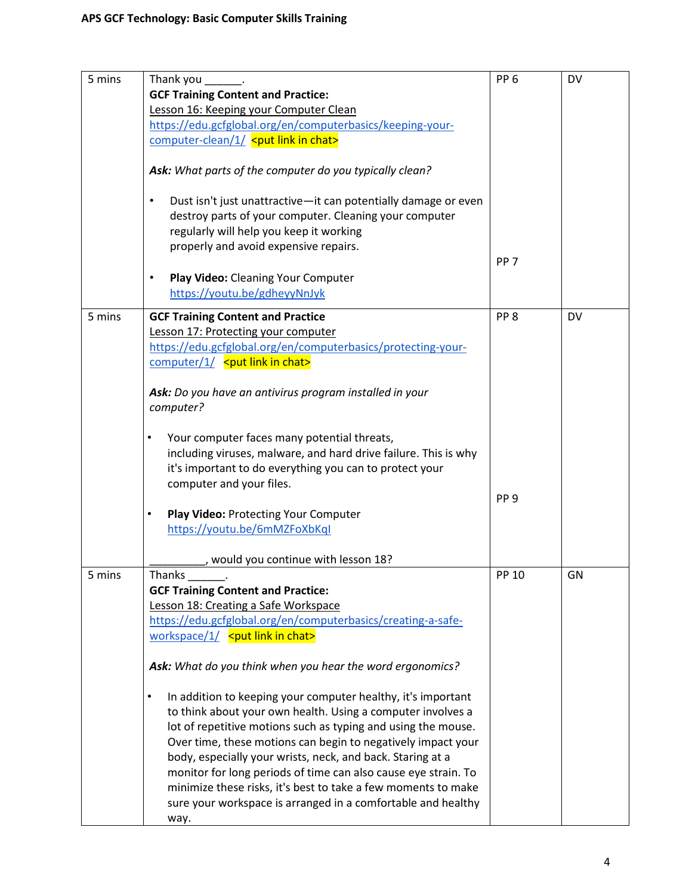| 5 mins | Thank you                                                                                                                                                                                                                 | PP <sub>6</sub> | DV        |
|--------|---------------------------------------------------------------------------------------------------------------------------------------------------------------------------------------------------------------------------|-----------------|-----------|
|        | <b>GCF Training Content and Practice:</b>                                                                                                                                                                                 |                 |           |
|        | Lesson 16: Keeping your Computer Clean                                                                                                                                                                                    |                 |           |
|        | https://edu.gcfglobal.org/en/computerbasics/keeping-your-                                                                                                                                                                 |                 |           |
|        | computer-clean/1/ <put chat="" in="" link=""></put>                                                                                                                                                                       |                 |           |
|        | Ask: What parts of the computer do you typically clean?                                                                                                                                                                   |                 |           |
|        | Dust isn't just unattractive-it can potentially damage or even<br>$\bullet$<br>destroy parts of your computer. Cleaning your computer<br>regularly will help you keep it working<br>properly and avoid expensive repairs. |                 |           |
|        |                                                                                                                                                                                                                           | PP <sub>7</sub> |           |
|        | Play Video: Cleaning Your Computer<br>٠<br>https://youtu.be/gdheyyNnJyk                                                                                                                                                   |                 |           |
| 5 mins | <b>GCF Training Content and Practice</b>                                                                                                                                                                                  | PP <sub>8</sub> | <b>DV</b> |
|        | Lesson 17: Protecting your computer                                                                                                                                                                                       |                 |           |
|        | https://edu.gcfglobal.org/en/computerbasics/protecting-your-                                                                                                                                                              |                 |           |
|        | computer/1/ <put chat="" in="" link=""></put>                                                                                                                                                                             |                 |           |
|        |                                                                                                                                                                                                                           |                 |           |
|        | Ask: Do you have an antivirus program installed in your                                                                                                                                                                   |                 |           |
|        | computer?                                                                                                                                                                                                                 |                 |           |
|        |                                                                                                                                                                                                                           |                 |           |
|        | Your computer faces many potential threats,<br>٠                                                                                                                                                                          |                 |           |
|        | including viruses, malware, and hard drive failure. This is why                                                                                                                                                           |                 |           |
|        | it's important to do everything you can to protect your                                                                                                                                                                   |                 |           |
|        | computer and your files.                                                                                                                                                                                                  |                 |           |
|        |                                                                                                                                                                                                                           | PP <sub>9</sub> |           |
|        | Play Video: Protecting Your Computer<br>٠                                                                                                                                                                                 |                 |           |
|        | https://youtu.be/6mMZFoXbKql                                                                                                                                                                                              |                 |           |
|        |                                                                                                                                                                                                                           |                 |           |
|        | would you continue with lesson 18?                                                                                                                                                                                        |                 |           |
| 5 mins | Thanks _______.                                                                                                                                                                                                           | PP 10           | GN        |
|        | <b>GCF Training Content and Practice:</b>                                                                                                                                                                                 |                 |           |
|        | Lesson 18: Creating a Safe Workspace                                                                                                                                                                                      |                 |           |
|        | https://edu.gcfglobal.org/en/computerbasics/creating-a-safe-                                                                                                                                                              |                 |           |
|        | workspace/1/ <put chat="" in="" link=""></put>                                                                                                                                                                            |                 |           |
|        | Ask: What do you think when you hear the word ergonomics?                                                                                                                                                                 |                 |           |
|        | In addition to keeping your computer healthy, it's important<br>$\bullet$                                                                                                                                                 |                 |           |
|        | to think about your own health. Using a computer involves a                                                                                                                                                               |                 |           |
|        | lot of repetitive motions such as typing and using the mouse.                                                                                                                                                             |                 |           |
|        | Over time, these motions can begin to negatively impact your                                                                                                                                                              |                 |           |
|        | body, especially your wrists, neck, and back. Staring at a                                                                                                                                                                |                 |           |
|        | monitor for long periods of time can also cause eye strain. To                                                                                                                                                            |                 |           |
|        | minimize these risks, it's best to take a few moments to make                                                                                                                                                             |                 |           |
|        | sure your workspace is arranged in a comfortable and healthy                                                                                                                                                              |                 |           |
|        |                                                                                                                                                                                                                           |                 |           |
|        | way.                                                                                                                                                                                                                      |                 |           |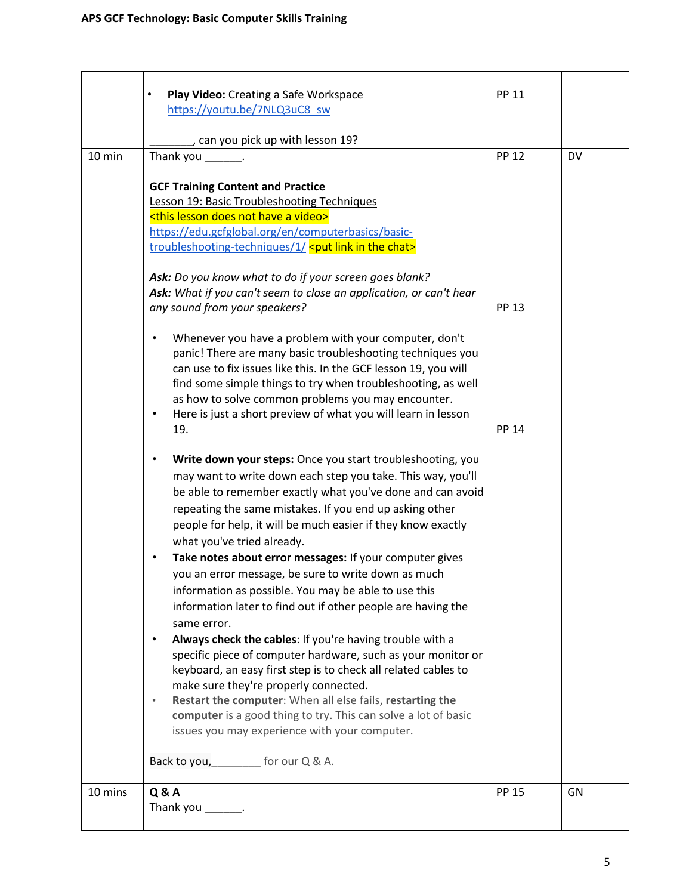|         | Play Video: Creating a Safe Workspace                                                                                                                                                                                                                                                                                                                         | <b>PP 11</b> |           |
|---------|---------------------------------------------------------------------------------------------------------------------------------------------------------------------------------------------------------------------------------------------------------------------------------------------------------------------------------------------------------------|--------------|-----------|
|         | https://youtu.be/7NLQ3uC8_sw                                                                                                                                                                                                                                                                                                                                  |              |           |
|         | can you pick up with lesson 19?                                                                                                                                                                                                                                                                                                                               |              |           |
| 10 min  | Thank you _______.                                                                                                                                                                                                                                                                                                                                            | <b>PP 12</b> | <b>DV</b> |
|         | <b>GCF Training Content and Practice</b><br><b>Lesson 19: Basic Troubleshooting Techniques</b>                                                                                                                                                                                                                                                                |              |           |
|         | <this a="" does="" have="" lesson="" not="" video=""></this>                                                                                                                                                                                                                                                                                                  |              |           |
|         | https://edu.gcfglobal.org/en/computerbasics/basic-<br>troubleshooting-techniques/1/ <put chat="" in="" link="" the=""></put>                                                                                                                                                                                                                                  |              |           |
|         | Ask: Do you know what to do if your screen goes blank?                                                                                                                                                                                                                                                                                                        |              |           |
|         | Ask: What if you can't seem to close an application, or can't hear<br>any sound from your speakers?                                                                                                                                                                                                                                                           | <b>PP 13</b> |           |
|         | Whenever you have a problem with your computer, don't<br>$\bullet$<br>panic! There are many basic troubleshooting techniques you<br>can use to fix issues like this. In the GCF lesson 19, you will<br>find some simple things to try when troubleshooting, as well                                                                                           |              |           |
|         | as how to solve common problems you may encounter.<br>Here is just a short preview of what you will learn in lesson<br>$\bullet$<br>19.                                                                                                                                                                                                                       | <b>PP 14</b> |           |
|         | Write down your steps: Once you start troubleshooting, you<br>$\bullet$<br>may want to write down each step you take. This way, you'll<br>be able to remember exactly what you've done and can avoid<br>repeating the same mistakes. If you end up asking other<br>people for help, it will be much easier if they know exactly<br>what you've tried already. |              |           |
|         | Take notes about error messages: If your computer gives<br>you an error message, be sure to write down as much<br>information as possible. You may be able to use this<br>information later to find out if other people are having the<br>same error.                                                                                                         |              |           |
|         | Always check the cables: If you're having trouble with a<br>$\bullet$<br>specific piece of computer hardware, such as your monitor or<br>keyboard, an easy first step is to check all related cables to                                                                                                                                                       |              |           |
|         | make sure they're properly connected.<br>Restart the computer: When all else fails, restarting the<br>$\bullet$<br>computer is a good thing to try. This can solve a lot of basic<br>issues you may experience with your computer.                                                                                                                            |              |           |
|         | Back to you, _________ for our Q & A.                                                                                                                                                                                                                                                                                                                         |              |           |
| 10 mins | <b>Q&amp;A</b><br>Thank you _______.                                                                                                                                                                                                                                                                                                                          | <b>PP 15</b> | GN        |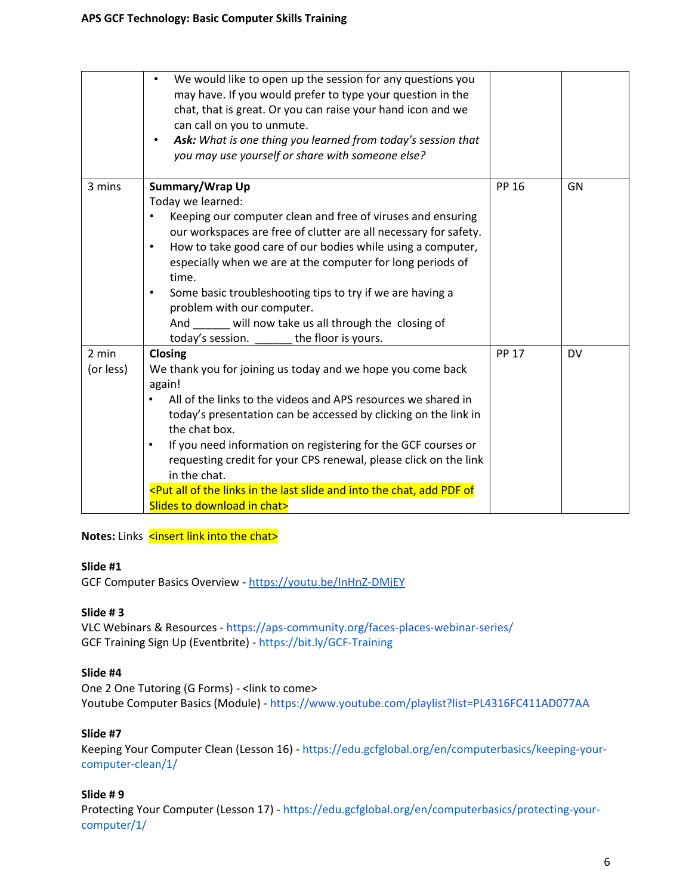|                    | We would like to open up the session for any questions you<br>may have. If you would prefer to type your question in the<br>chat, that is great. Or you can raise your hand icon and we<br>can call on you to unmute.<br>Ask: What is one thing you learned from today's session that<br>$\bullet$<br>you may use yourself or share with someone else?                                                                                                                                                                                                  |              |           |
|--------------------|---------------------------------------------------------------------------------------------------------------------------------------------------------------------------------------------------------------------------------------------------------------------------------------------------------------------------------------------------------------------------------------------------------------------------------------------------------------------------------------------------------------------------------------------------------|--------------|-----------|
| 3 mins             | Summary/Wrap Up<br>Today we learned:<br>Keeping our computer clean and free of viruses and ensuring<br>$\bullet$<br>our workspaces are free of clutter are all necessary for safety.<br>How to take good care of our bodies while using a computer,<br>$\bullet$<br>especially when we are at the computer for long periods of<br>time.<br>Some basic troubleshooting tips to try if we are having a<br>$\bullet$<br>problem with our computer.<br>And will now take us all through the closing of<br>the floor is yours.<br>today's session.           | PP 16        | GN        |
| 2 min<br>(or less) | Closing<br>We thank you for joining us today and we hope you come back<br>again!<br>All of the links to the videos and APS resources we shared in<br>today's presentation can be accessed by clicking on the link in<br>the chat box.<br>If you need information on registering for the GCF courses or<br>$\bullet$<br>requesting credit for your CPS renewal, please click on the link<br>in the chat.<br><put add="" all="" and="" chat,="" in="" into="" last="" links="" of="" of<br="" pdf="" slide="" the="">Slides to download in chat&gt;</put> | <b>PP 17</b> | <b>DV</b> |

**Notes:** Links <insert link into the chat>

### **Slide #1**

GCF Computer Basics Overview - <https://youtu.be/InHnZ-DMjEY>

### **Slide # 3**

VLC Webinars & Resources - <https://aps-community.org/faces-places-webinar-series/> GCF Training Sign Up (Eventbrite) - [https://bit.ly/GCF-Training](https://nam02.safelinks.protection.outlook.com/?url=https%3A%2F%2Fbit.ly%2FGCF-Training&data=04%7C01%7Cspagnoam%40shp.rutgers.edu%7Ca771708c45ee45bfa8b908d97d2b744f%7Cb92d2b234d35447093ff69aca6632ffe%7C1%7C0%7C637678447859905937%7CUnknown%7CTWFpbGZsb3d8eyJWIjoiMC4wLjAwMDAiLCJQIjoiV2luMzIiLCJBTiI6Ik1haWwiLCJXVCI6Mn0%3D%7C1000&sdata=0tl1qWs56sKGwpa0dIhCG6bx7PzkwdcuGU3Z%2FvBVR7Y%3D&reserved=0)

### **Slide #4**

One 2 One Tutoring (G Forms) - <link to come> Youtube Computer Basics (Module) - <https://www.youtube.com/playlist?list=PL4316FC411AD077AA>

### **Slide #7**

Keeping Your Computer Clean (Lesson 16) - [https://edu.gcfglobal.org/en/computerbasics/keeping-your](https://edu.gcfglobal.org/en/computerbasics/keeping-your-computer-clean/1/)[computer-clean/1/](https://edu.gcfglobal.org/en/computerbasics/keeping-your-computer-clean/1/)

### **Slide # 9**

Protecting Your Computer (Lesson 17) - [https://edu.gcfglobal.org/en/computerbasics/protecting-your](https://edu.gcfglobal.org/en/computerbasics/protecting-your-computer/1/)[computer/1/](https://edu.gcfglobal.org/en/computerbasics/protecting-your-computer/1/)